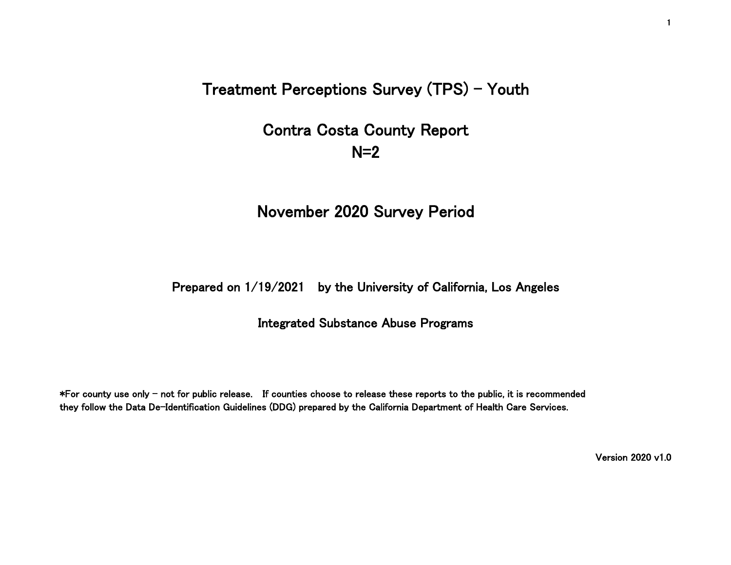Treatment Perceptions Survey (TPS) - Youth

# Contra Costa County Report  $N=2$

# November 2020 Survey Period

## Prepared on 1/19/2021 by the University of California, Los Angeles

### Integrated Substance Abuse Programs

\*For county use only - not for public release. If counties choose to release these reports to the public, it is recommended they follow the Data De-Identification Guidelines (DDG) prepared by the California Department of Health Care Services.

Version 2020 v1.0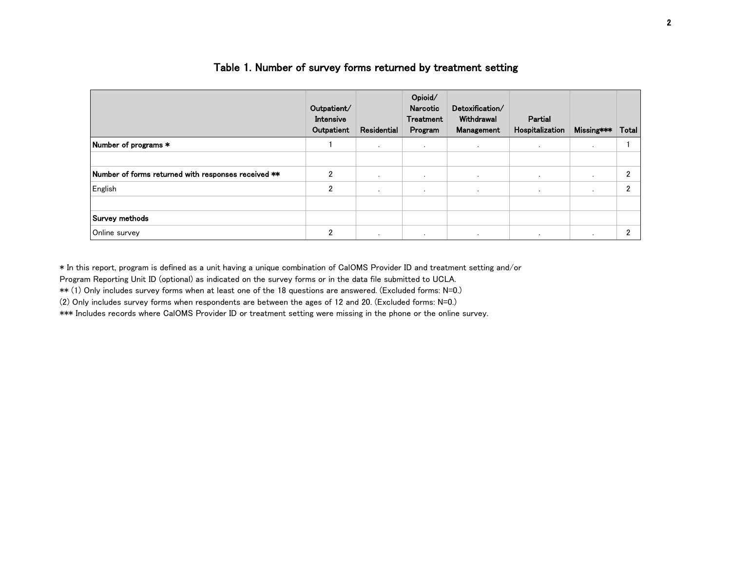|                                                     | Outpatient/<br>Intensive<br>Outpatient | Residential | Opioid/<br>Narcotic<br><b>Treatment</b><br>Program | Detoxification/<br>Withdrawal<br>Management | Partial<br>Hospitalization | Missing*** | Total |
|-----------------------------------------------------|----------------------------------------|-------------|----------------------------------------------------|---------------------------------------------|----------------------------|------------|-------|
| Number of programs *                                |                                        | $\cdot$     | $\sim$                                             | $\cdot$                                     | $\sim$                     |            |       |
|                                                     |                                        |             |                                                    |                                             |                            |            |       |
| Number of forms returned with responses received ** | $\overline{2}$                         | $\cdot$     | $\sim$                                             | $\cdot$                                     | $\cdot$                    | $\cdot$    | ∩     |
| English                                             | $\overline{2}$                         | $\cdot$     | $\cdot$                                            |                                             | $\overline{\phantom{a}}$   | $\cdot$    | ∩     |
|                                                     |                                        |             |                                                    |                                             |                            |            |       |
| Survey methods                                      |                                        |             |                                                    |                                             |                            |            |       |
| Online survey                                       | $\overline{2}$                         | $\cdot$     | $\sim$                                             |                                             |                            | $\cdot$    | c     |

#### Table 1. Number of survey forms returned by treatment setting

\* In this report, program is defined as a unit having a unique combination of CalOMS Provider ID and treatment setting and/or

Program Reporting Unit ID (optional) as indicated on the survey forms or in the data file submitted to UCLA.

\*\* (1) Only includes survey forms when at least one of the 18 questions are answered. (Excluded forms: N=0.)

(2) Only includes survey forms when respondents are between the ages of 12 and 20. (Excluded forms: N=0.)

\*\*\* Includes records where CalOMS Provider ID or treatment setting were missing in the phone or the online survey.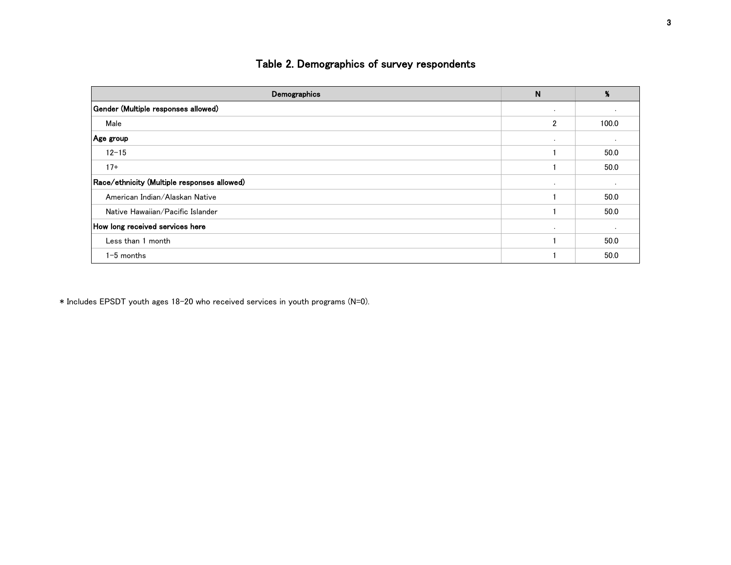# Table 2. Demographics of survey respondents

| Demographics                                | N              | %       |
|---------------------------------------------|----------------|---------|
| Gender (Multiple responses allowed)         | $\sim$         |         |
| Male                                        | $\overline{2}$ | 100.0   |
| Age group                                   | $\sim$         | $\cdot$ |
| $12 - 15$                                   |                | 50.0    |
| $17+$                                       |                | 50.0    |
| Race/ethnicity (Multiple responses allowed) | $\sim$         | $\cdot$ |
| American Indian/Alaskan Native              |                | 50.0    |
| Native Hawaiian/Pacific Islander            |                | 50.0    |
| How long received services here             | . .            | $\cdot$ |
| Less than 1 month                           |                | 50.0    |
| $1-5$ months                                |                | 50.0    |

\* Includes EPSDT youth ages 18-20 who received services in youth programs (N=0).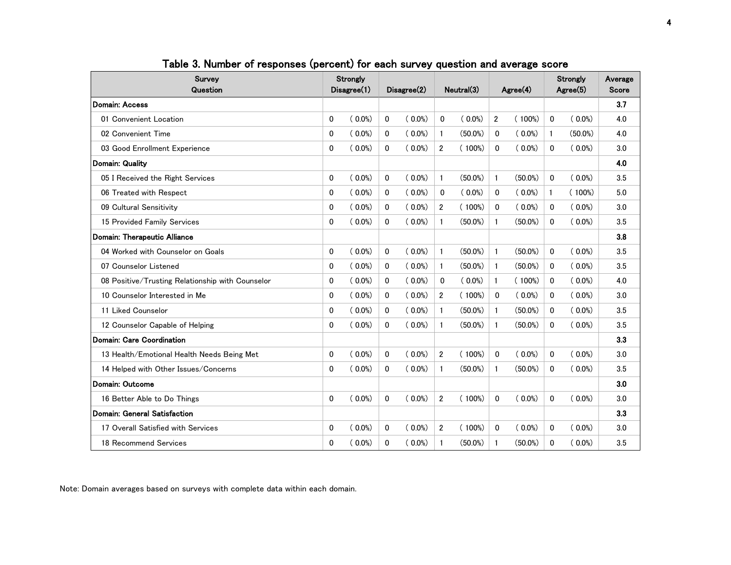| Survey<br>Question                               |          | Strongly<br>Disagree(1) |             |           |                | Disagree(2) |                | Neutral(3) |              | $A$ gree $(4)$ |     | Strongly<br>Agree(5) | Average<br><b>Score</b> |  |
|--------------------------------------------------|----------|-------------------------|-------------|-----------|----------------|-------------|----------------|------------|--------------|----------------|-----|----------------------|-------------------------|--|
| Domain: Access                                   |          |                         |             |           |                |             |                |            |              |                | 3.7 |                      |                         |  |
| 01 Convenient Location                           | $\Omega$ | $(0.0\%)$               | $\mathbf 0$ | $(0.0\%)$ | $\mathbf{0}$   | $(0.0\%)$   | $\overline{2}$ | $(100\%)$  | $\Omega$     | $(0.0\%)$      | 4.0 |                      |                         |  |
| 02 Convenient Time                               | 0        | $(0.0\%)$               | 0           | $(0.0\%)$ | 1              | $(50.0\%)$  | 0              | $(0.0\%)$  | 1            | $(50.0\%)$     | 4.0 |                      |                         |  |
| 03 Good Enrollment Experience                    | 0        | $(0.0\%)$               | $\Omega$    | $(0.0\%)$ | $\overline{2}$ | $(100\%)$   | $\Omega$       | $(0.0\%)$  | $\Omega$     | $(0.0\%)$      | 3.0 |                      |                         |  |
| Domain: Quality                                  |          |                         |             |           |                |             |                |            |              |                | 4.0 |                      |                         |  |
| 05 I Received the Right Services                 | 0        | $(0.0\%)$               | 0           | $(0.0\%)$ | 1              | $(50.0\%)$  | $\mathbf{1}$   | $(50.0\%)$ | 0            | $(0.0\%)$      | 3.5 |                      |                         |  |
| 06 Treated with Respect                          | 0        | $(0.0\%)$               | $\mathbf 0$ | $(0.0\%)$ | $\mathbf{0}$   | $(0.0\%)$   | 0              | $(0.0\%)$  | $\mathbf{1}$ | $(100\%)$      | 5.0 |                      |                         |  |
| 09 Cultural Sensitivity                          | 0        | $(0.0\%)$               | 0           | $(0.0\%)$ | $\overline{2}$ | $(100\%)$   | $\Omega$       | $(0.0\%)$  | $\mathbf{0}$ | $(0.0\%)$      | 3.0 |                      |                         |  |
| 15 Provided Family Services                      | 0        | $(0.0\%)$               | $\mathbf 0$ | $(0.0\%)$ | $\mathbf{1}$   | $(50.0\%)$  | $\mathbf{1}$   | $(50.0\%)$ | $\mathbf{0}$ | $(0.0\%)$      | 3.5 |                      |                         |  |
| Domain: Therapeutic Alliance                     |          |                         |             |           |                |             |                |            |              |                | 3.8 |                      |                         |  |
| 04 Worked with Counselor on Goals                | 0        | $(0.0\%)$               | 0           | $(0.0\%)$ | $\mathbf{1}$   | $(50.0\%)$  | $\mathbf{1}$   | $(50.0\%)$ | $\mathbf{0}$ | $(0.0\%)$      | 3.5 |                      |                         |  |
| 07 Counselor Listened                            | 0        | $(0.0\%)$               | $\mathbf 0$ | $(0.0\%)$ | $\mathbf{1}$   | $(50.0\%)$  | $\mathbf{1}$   | $(50.0\%)$ | $\mathbf{0}$ | $(0.0\%)$      | 3.5 |                      |                         |  |
| 08 Positive/Trusting Relationship with Counselor | 0        | $(0.0\%)$               | $\mathbf 0$ | $(0.0\%)$ | $\mathbf{0}$   | $(0.0\%)$   | $\mathbf{1}$   | $(100\%)$  | 0            | $(0.0\%)$      | 4.0 |                      |                         |  |
| 10 Counselor Interested in Me                    | 0        | $(0.0\%)$               | $\mathbf 0$ | $(0.0\%)$ | $\overline{2}$ | $(100\%)$   | $\Omega$       | $(0.0\%)$  | $\Omega$     | $(0.0\%)$      | 3.0 |                      |                         |  |
| 11 Liked Counselor                               | 0        | $(0.0\%)$               | $\mathbf 0$ | $(0.0\%)$ | 1              | $(50.0\%)$  | $\mathbf{1}$   | $(50.0\%)$ | $\Omega$     | $(0.0\%)$      | 3.5 |                      |                         |  |
| 12 Counselor Capable of Helping                  | 0        | $(0.0\%)$               | $\Omega$    | $(0.0\%)$ | 1              | $(50.0\%)$  | $\mathbf{1}$   | $(50.0\%)$ | $\Omega$     | $(0.0\%)$      | 3.5 |                      |                         |  |
| Domain: Care Coordination                        |          |                         |             |           |                |             |                |            |              |                | 3.3 |                      |                         |  |
| 13 Health/Emotional Health Needs Being Met       | 0        | $(0.0\%)$               | $\mathbf 0$ | $(0.0\%)$ | $\overline{2}$ | $(100\%)$   | $\Omega$       | $(0.0\%)$  | 0            | $(0.0\%)$      | 3.0 |                      |                         |  |
| 14 Helped with Other Issues/Concerns             | $\Omega$ | $(0.0\%)$               | $\mathbf 0$ | $(0.0\%)$ | $\mathbf{1}$   | $(50.0\%)$  | $\mathbf{1}$   | $(50.0\%)$ | 0            | $(0.0\%)$      | 3.5 |                      |                         |  |
| Domain: Outcome                                  |          |                         |             |           |                |             |                |            |              |                | 3.0 |                      |                         |  |
| 16 Better Able to Do Things                      | $\Omega$ | $(0.0\%)$               | $\mathbf 0$ | $(0.0\%)$ | $\overline{2}$ | $(100\%)$   | $\Omega$       | $(0.0\%)$  | $\Omega$     | $(0.0\%)$      | 3.0 |                      |                         |  |
| Domain: General Satisfaction                     |          |                         |             |           |                |             |                |            |              |                | 3.3 |                      |                         |  |
| 17 Overall Satisfied with Services               | 0        | $(0.0\%)$               | 0           | $(0.0\%)$ | $\overline{2}$ | $(100\%)$   | $\Omega$       | $(0.0\%)$  | $\mathbf{0}$ | $(0.0\%)$      | 3.0 |                      |                         |  |
| 18 Recommend Services                            | 0        | $(0.0\%)$               | 0           | $(0.0\%)$ | $\mathbf{1}$   | $(50.0\%)$  | $\mathbf{1}$   | $(50.0\%)$ | $\mathbf{0}$ | $(0.0\%)$      | 3.5 |                      |                         |  |

Table 3. Number of responses (percent) for each survey question and average score

Note: Domain averages based on surveys with complete data within each domain.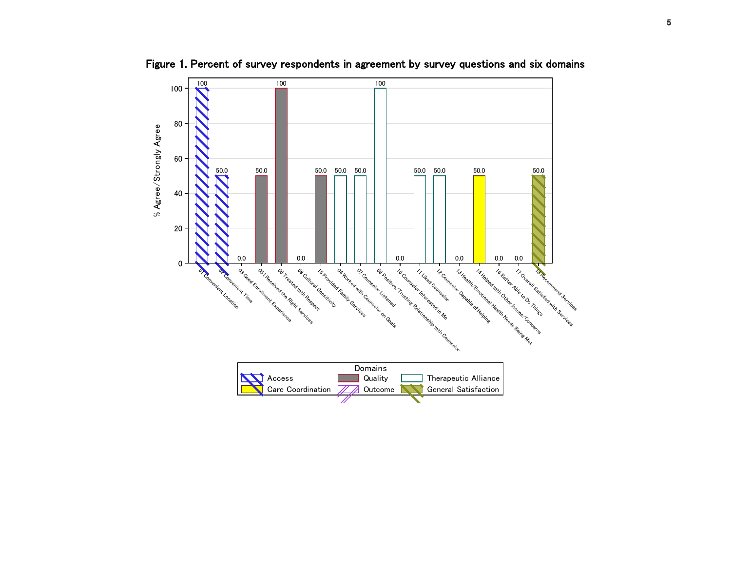

Figure 1. Percent of survey respondents in agreement by survey questions and six domains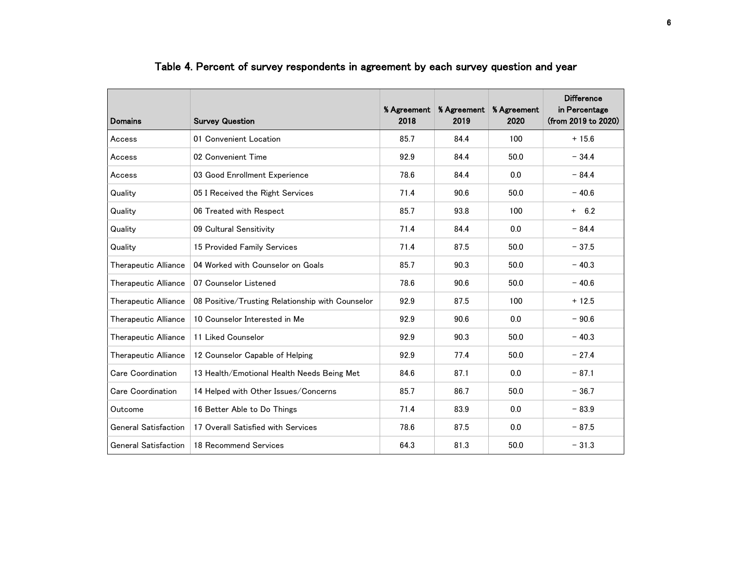| <b>Domains</b>              | <b>Survey Question</b>                           | % Agreement<br>2018 | % Agreement<br>2019 | % Agreement<br>2020 | <b>Difference</b><br>in Percentage<br>(from 2019 to 2020) |
|-----------------------------|--------------------------------------------------|---------------------|---------------------|---------------------|-----------------------------------------------------------|
| Access                      | 01 Convenient Location                           | 85.7                | 84.4                | 100                 | $+15.6$                                                   |
| Access                      | 02 Convenient Time                               | 92.9                | 84.4                | 50.0                | $-34.4$                                                   |
| Access                      | 03 Good Enrollment Experience                    | 78.6                | 84.4                | 0.0                 | $-84.4$                                                   |
| Quality                     | 05 I Received the Right Services                 | 71.4                | 90.6                | 50.0                | $-40.6$                                                   |
| Quality                     | 06 Treated with Respect                          | 85.7                | 93.8                | 100                 | $+ 6.2$                                                   |
| Quality                     | 09 Cultural Sensitivity                          | 71.4                | 84.4                | 0.0                 | $-84.4$                                                   |
| Quality                     | 15 Provided Family Services                      | 71.4                | 87.5                | 50.0                | $-37.5$                                                   |
| Therapeutic Alliance        | 04 Worked with Counselor on Goals                | 85.7                | 90.3                | 50.0                | $-40.3$                                                   |
| Therapeutic Alliance        | 07 Counselor Listened                            | 78.6                | 90.6                | 50.0                | $-40.6$                                                   |
| Therapeutic Alliance        | 08 Positive/Trusting Relationship with Counselor | 92.9                | 87.5                | 100                 | $+12.5$                                                   |
| Therapeutic Alliance        | 10 Counselor Interested in Me                    | 92.9                | 90.6                | 0.0                 | $-90.6$                                                   |
| Therapeutic Alliance        | 11 Liked Counselor                               | 92.9                | 90.3                | 50.0                | $-40.3$                                                   |
| Therapeutic Alliance        | 12 Counselor Capable of Helping                  | 92.9                | 77.4                | 50.0                | $-27.4$                                                   |
| <b>Care Coordination</b>    | 13 Health/Emotional Health Needs Being Met       | 84.6                | 87.1                | 0.0                 | $-87.1$                                                   |
| <b>Care Coordination</b>    | 14 Helped with Other Issues/Concerns             | 85.7                | 86.7                | 50.0                | $-36.7$                                                   |
| Outcome                     | 16 Better Able to Do Things                      | 71.4                | 83.9                | 0.0                 | $-83.9$                                                   |
| <b>General Satisfaction</b> | 17 Overall Satisfied with Services               | 78.6                | 87.5                | 0.0                 | $-87.5$                                                   |
| <b>General Satisfaction</b> | 18 Recommend Services                            | 64.3                | 81.3                | 50.0                | $-31.3$                                                   |

# Table 4. Percent of survey respondents in agreement by each survey question and year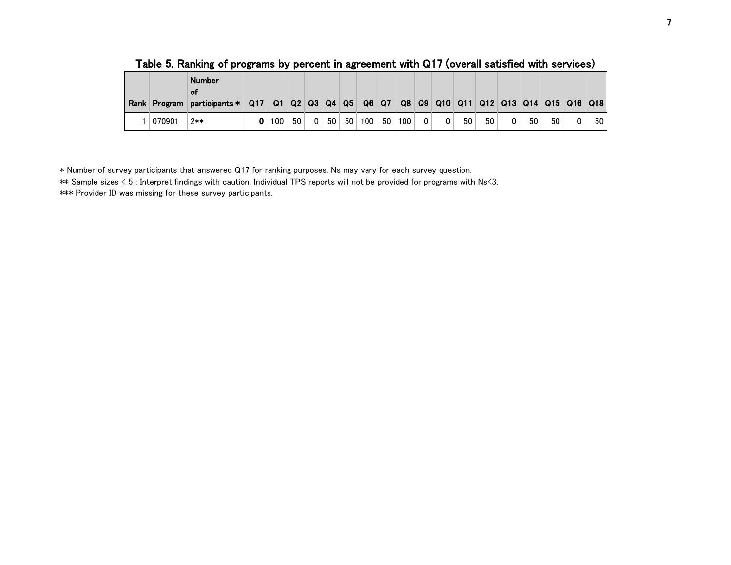| Rank Program | <b>Number</b><br>ΟŤ<br>participants * Q17 Q1 Q2 Q3 Q4 Q5 Q6 Q7 Q8 Q9 Q10 Q11 Q12 Q13 Q14 Q15 Q16 Q18 |     |                 |                |    |                 |     |    |     |             |    |    |   |    |    |    |
|--------------|------------------------------------------------------------------------------------------------------|-----|-----------------|----------------|----|-----------------|-----|----|-----|-------------|----|----|---|----|----|----|
| 070901       | 2**                                                                                                  | 100 | 50 <sub>1</sub> | 0 <sup>1</sup> | 50 | 50 <sub>1</sub> | 100 | 50 | 100 | $\mathbf 0$ | 50 | 50 | 0 | 50 | 50 | 50 |

Table 5. Ranking of programs by percent in agreement with Q17 (overall satisfied with services)

\* Number of survey participants that answered Q17 for ranking purposes. Ns may vary for each survey question.

\*\* Sample sizes < 5 : Interpret findings with caution. Individual TPS reports will not be provided for programs with Ns<3.

\*\*\* Provider ID was missing for these survey participants.